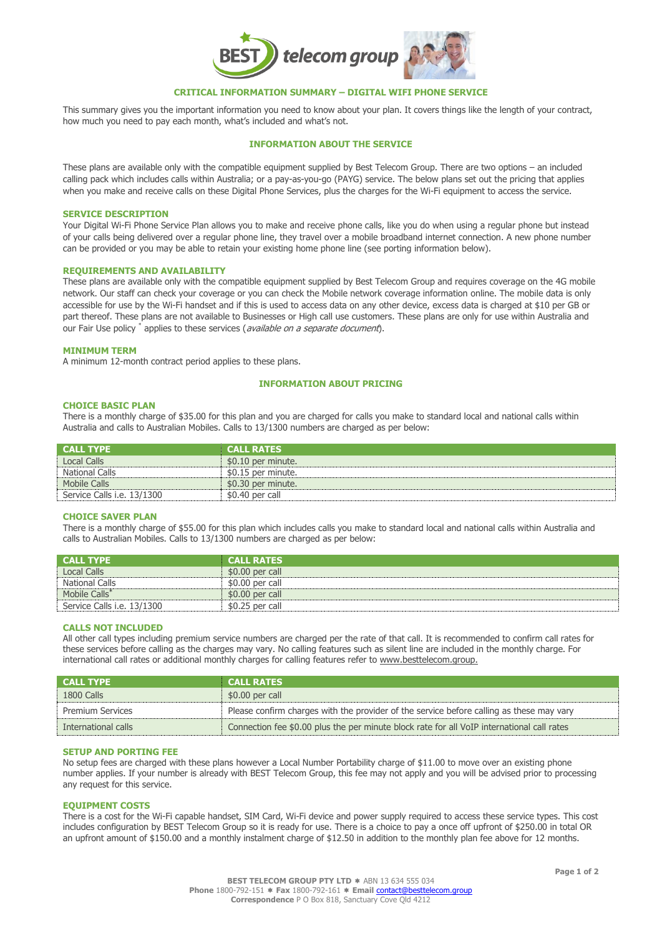

# **CRITICAL INFORMATION SUMMARY – DIGITAL WIFI PHONE SERVICE**

This summary gives you the important information you need to know about your plan. It covers things like the length of your contract, how much you need to pay each month, what's included and what's not.

# **INFORMATION ABOUT THE SERVICE**

These plans are available only with the compatible equipment supplied by Best Telecom Group. There are two options – an included calling pack which includes calls within Australia; or a pay-as-you-go (PAYG) service. The below plans set out the pricing that applies when you make and receive calls on these Digital Phone Services, plus the charges for the Wi-Fi equipment to access the service.

## **SERVICE DESCRIPTION**

Your Digital Wi-Fi Phone Service Plan allows you to make and receive phone calls, like you do when using a regular phone but instead of your calls being delivered over a regular phone line, they travel over a mobile broadband internet connection. A new phone number can be provided or you may be able to retain your existing home phone line (see porting information below).

#### **REQUIREMENTS AND AVAILABILITY**

These plans are available only with the compatible equipment supplied by Best Telecom Group and requires coverage on the 4G mobile network. Our staff can check your coverage or you can check the Mobile network coverage information online. The mobile data is only accessible for use by the Wi-Fi handset and if this is used to access data on any other device, excess data is charged at \$10 per GB or part thereof. These plans are not available to Businesses or High call use customers. These plans are only for use within Australia and our Fair Use policy \* applies to these services (available on a separate document).

#### **MINIMUM TERM**

A minimum 12-month contract period applies to these plans.

## **INFORMATION ABOUT PRICING**

### **CHOICE BASIC PLAN**

There is a monthly charge of \$35.00 for this plan and you are charged for calls you make to standard local and national calls within Australia and calls to Australian Mobiles. Calls to 13/1300 numbers are charged as per below:

| <b>CALL TYPE</b>           | <b>CALL RATES</b>  |
|----------------------------|--------------------|
| Local Calls                | \$0.10 per minute. |
| National Calls             | \$0.15 per minute. |
| Mobile Calls               | \$0.30 per minute. |
| Service Calls i.e. 13/1300 | \$0.40 per call    |
|                            |                    |

## **CHOICE SAVER PLAN**

There is a monthly charge of \$55.00 for this plan which includes calls you make to standard local and national calls within Australia and calls to Australian Mobiles. Calls to 13/1300 numbers are charged as per below:

| <b>CALL TYPE</b>                  | <b>CALL RATES</b> |
|-----------------------------------|-------------------|
| Local Calls                       | $$0.00$ per call  |
| National Calls                    | \$0.00 per call   |
| Mobile Calls <sup>*</sup>         | $$0.00$ per call  |
| Service Calls <i>i.e.</i> 13/1300 | $$0.25$ per call  |

# **CALLS NOT INCLUDED**

All other call types including premium service numbers are charged per the rate of that call. It is recommended to confirm call rates for these services before calling as the charges may vary. No calling features such as silent line are included in the monthly charge. For international call rates or additional monthly charges for calling features refer to www.besttelecom.group.

| <b>CALL TYPE</b>        | <b>CALL RATES</b>                                                                          |
|-------------------------|--------------------------------------------------------------------------------------------|
| 1800 Calls              | $$0.00$ per call                                                                           |
| <b>Premium Services</b> | Please confirm charges with the provider of the service before calling as these may vary   |
| International calls     | Connection fee \$0.00 plus the per minute block rate for all VoIP international call rates |

## **SETUP AND PORTING FEE**

No setup fees are charged with these plans however a Local Number Portability charge of \$11.00 to move over an existing phone number applies. If your number is already with BEST Telecom Group, this fee may not apply and you will be advised prior to processing any request for this service.

## **EQUIPMENT COSTS**

There is a cost for the Wi-Fi capable handset, SIM Card, Wi-Fi device and power supply required to access these service types. This cost includes configuration by BEST Telecom Group so it is ready for use. There is a choice to pay a once off upfront of \$250.00 in total OR an upfront amount of \$150.00 and a monthly instalment charge of \$12.50 in addition to the monthly plan fee above for 12 months.